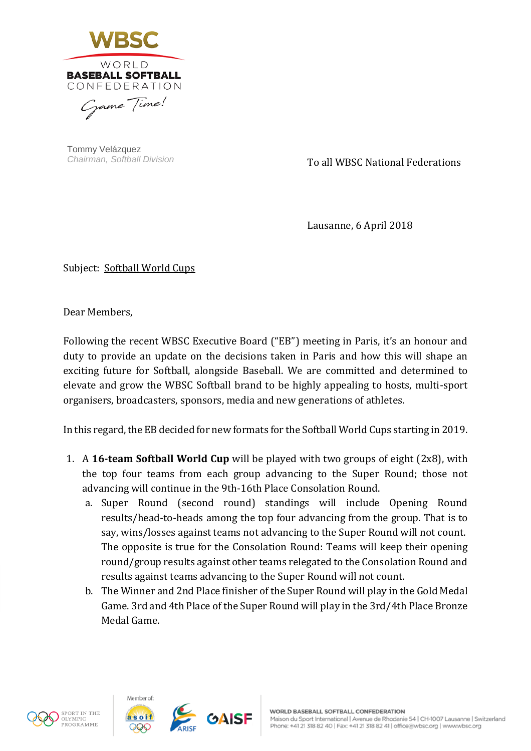

Tommy Velázquez *Chairman, Softball Division*

To all WBSC National Federations

Lausanne, 6 April 2018

Subject: Softball World Cups

Dear Members,

Following the recent WBSC Executive Board ("EB") meeting in Paris, it's an honour and duty to provide an update on the decisions taken in Paris and how this will shape an exciting future for Softball, alongside Baseball. We are committed and determined to elevate and grow the WBSC Softball brand to be highly appealing to hosts, multi-sport organisers, broadcasters, sponsors, media and new generations of athletes.

In this regard, the EB decided for new formats for the Softball World Cups starting in 2019.

- 1. A **16-team Softball World Cup** will be played with two groups of eight (2x8), with the top four teams from each group advancing to the Super Round; those not advancing will continue in the 9th-16th Place Consolation Round.
	- a. Super Round (second round) standings will include Opening Round results/head-to-heads among the top four advancing from the group. That is to say, wins/losses against teams not advancing to the Super Round will not count. The opposite is true for the Consolation Round: Teams will keep their opening round/group results against other teams relegated to the Consolation Round and results against teams advancing to the Super Round will not count.
	- b. The Winner and 2nd Place finisher of the Super Round will play in the Gold Medal Game. 3rd and 4th Place of the Super Round will play in the 3rd/4th Place Bronze Medal Game.